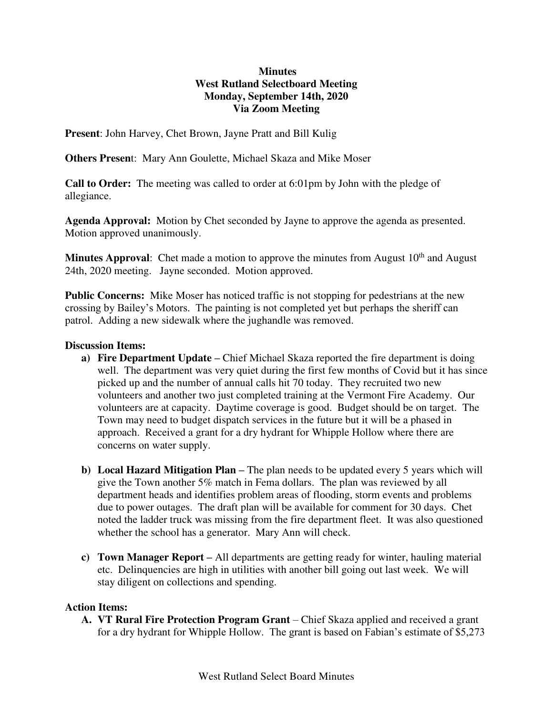## **Minutes West Rutland Selectboard Meeting Monday, September 14th, 2020 Via Zoom Meeting**

**Present**: John Harvey, Chet Brown, Jayne Pratt and Bill Kulig

**Others Presen**t: Mary Ann Goulette, Michael Skaza and Mike Moser

**Call to Order:** The meeting was called to order at 6:01pm by John with the pledge of allegiance.

**Agenda Approval:** Motion by Chet seconded by Jayne to approve the agenda as presented. Motion approved unanimously.

**Minutes Approval:** Chet made a motion to approve the minutes from August 10<sup>th</sup> and August 24th, 2020 meeting. Jayne seconded. Motion approved.

**Public Concerns:** Mike Moser has noticed traffic is not stopping for pedestrians at the new crossing by Bailey's Motors. The painting is not completed yet but perhaps the sheriff can patrol. Adding a new sidewalk where the jughandle was removed.

## **Discussion Items:**

- **a) Fire Department Update –** Chief Michael Skaza reported the fire department is doing well. The department was very quiet during the first few months of Covid but it has since picked up and the number of annual calls hit 70 today. They recruited two new volunteers and another two just completed training at the Vermont Fire Academy. Our volunteers are at capacity. Daytime coverage is good. Budget should be on target. The Town may need to budget dispatch services in the future but it will be a phased in approach. Received a grant for a dry hydrant for Whipple Hollow where there are concerns on water supply.
- **b) Local Hazard Mitigation Plan –** The plan needs to be updated every 5 years which will give the Town another 5% match in Fema dollars. The plan was reviewed by all department heads and identifies problem areas of flooding, storm events and problems due to power outages. The draft plan will be available for comment for 30 days. Chet noted the ladder truck was missing from the fire department fleet. It was also questioned whether the school has a generator. Mary Ann will check.
- **c) Town Manager Report –** All departments are getting ready for winter, hauling material etc. Delinquencies are high in utilities with another bill going out last week. We will stay diligent on collections and spending.

## **Action Items:**

**A. VT Rural Fire Protection Program Grant** – Chief Skaza applied and received a grant for a dry hydrant for Whipple Hollow. The grant is based on Fabian's estimate of \$5,273